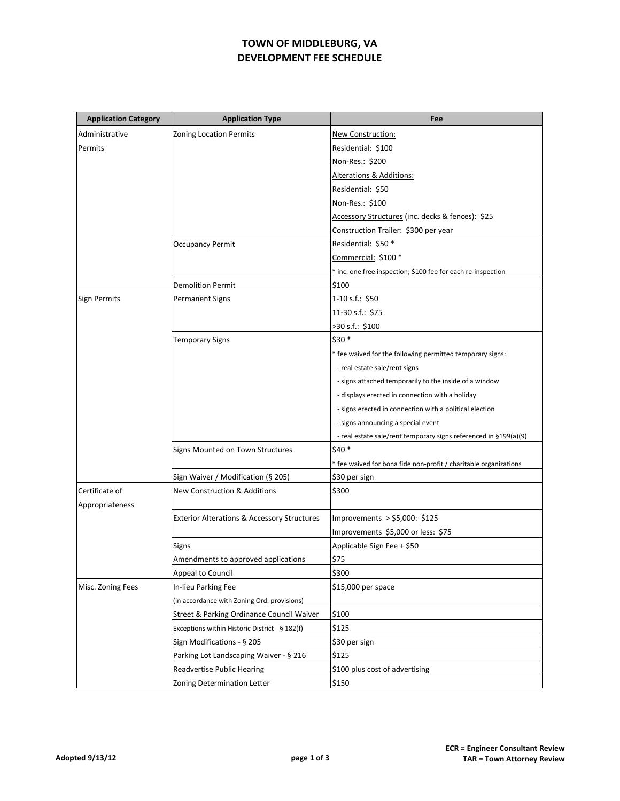## **TOWN OF MIDDLEBURG, VA DEVELOPMENT FEE SCHEDULE**

| <b>Application Category</b> | <b>Application Type</b>                                | Fee                                                              |
|-----------------------------|--------------------------------------------------------|------------------------------------------------------------------|
| Administrative              | <b>Zoning Location Permits</b>                         | New Construction:                                                |
| Permits                     |                                                        | Residential: \$100                                               |
|                             |                                                        | Non-Res.: \$200                                                  |
|                             |                                                        | Alterations & Additions:                                         |
|                             |                                                        | Residential: \$50                                                |
|                             |                                                        | Non-Res.: \$100                                                  |
|                             |                                                        | Accessory Structures (inc. decks & fences): \$25                 |
|                             |                                                        | Construction Trailer: \$300 per year                             |
|                             | <b>Occupancy Permit</b>                                | Residential: \$50 *                                              |
|                             |                                                        | Commercial: \$100 *                                              |
|                             |                                                        | * inc. one free inspection; \$100 fee for each re-inspection     |
|                             | <b>Demolition Permit</b>                               | \$100                                                            |
| <b>Sign Permits</b>         | <b>Permanent Signs</b>                                 | 1-10 s.f.: $$50$                                                 |
|                             |                                                        | 11-30 s.f.: \$75                                                 |
|                             |                                                        | >30 s.f.: \$100                                                  |
|                             | <b>Temporary Signs</b>                                 | \$30 *                                                           |
|                             |                                                        | * fee waived for the following permitted temporary signs:        |
|                             |                                                        | - real estate sale/rent signs                                    |
|                             |                                                        | - signs attached temporarily to the inside of a window           |
|                             |                                                        | - displays erected in connection with a holiday                  |
|                             |                                                        | - signs erected in connection with a political election          |
|                             |                                                        | - signs announcing a special event                               |
|                             |                                                        | - real estate sale/rent temporary signs referenced in §199(a)(9) |
|                             | Signs Mounted on Town Structures                       | $$40*$                                                           |
|                             |                                                        | * fee waived for bona fide non-profit / charitable organizations |
|                             | Sign Waiver / Modification (§ 205)                     | \$30 per sign                                                    |
| Certificate of              | <b>New Construction &amp; Additions</b>                | \$300                                                            |
| Appropriateness             |                                                        |                                                                  |
|                             | <b>Exterior Alterations &amp; Accessory Structures</b> | Improvements > \$5,000: \$125                                    |
|                             |                                                        | Improvements \$5,000 or less: \$75                               |
|                             | Signs                                                  | Applicable Sign Fee + \$50                                       |
|                             | Amendments to approved applications                    | \$75                                                             |
|                             | Appeal to Council                                      | \$300                                                            |
| Misc. Zoning Fees           | In-lieu Parking Fee                                    | \$15,000 per space                                               |
|                             | (in accordance with Zoning Ord. provisions)            |                                                                  |
|                             | Street & Parking Ordinance Council Waiver              | \$100                                                            |
|                             | Exceptions within Historic District - § 182(f)         | \$125                                                            |
|                             | Sign Modifications - § 205                             | \$30 per sign                                                    |
|                             | Parking Lot Landscaping Waiver - § 216                 | \$125                                                            |
|                             | <b>Readvertise Public Hearing</b>                      | \$100 plus cost of advertising                                   |
|                             | Zoning Determination Letter                            | \$150                                                            |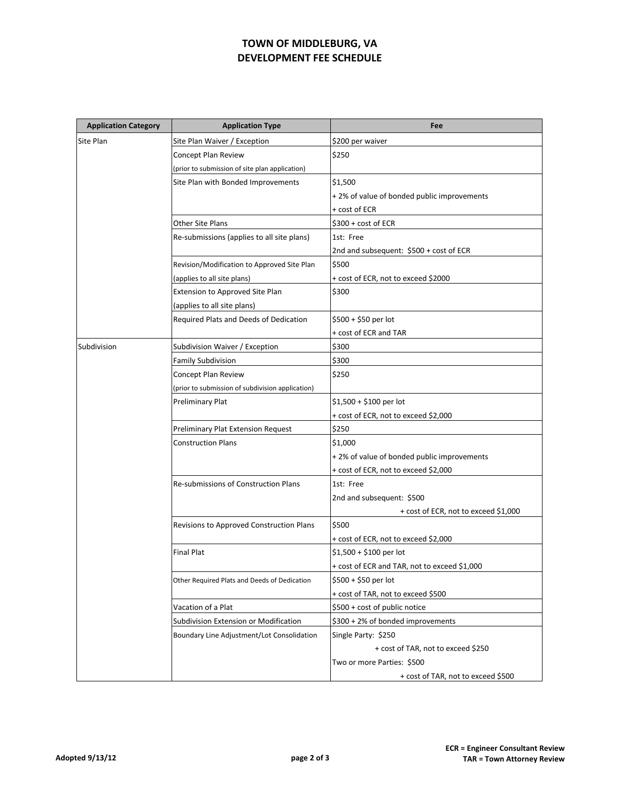## **TOWN OF MIDDLEBURG, VA DEVELOPMENT FEE SCHEDULE**

| <b>Application Category</b> | <b>Application Type</b>                          | Fee                                          |
|-----------------------------|--------------------------------------------------|----------------------------------------------|
| Site Plan                   | Site Plan Waiver / Exception                     | \$200 per waiver                             |
|                             | Concept Plan Review                              | \$250                                        |
|                             | (prior to submission of site plan application)   |                                              |
|                             | Site Plan with Bonded Improvements               | \$1,500                                      |
|                             |                                                  | +2% of value of bonded public improvements   |
|                             |                                                  | + cost of ECR                                |
|                             | <b>Other Site Plans</b>                          | $$300 + cost of ECR$                         |
|                             | Re-submissions (applies to all site plans)       | 1st: Free                                    |
|                             |                                                  | 2nd and subsequent: \$500 + cost of ECR      |
|                             | Revision/Modification to Approved Site Plan      | \$500                                        |
|                             | (applies to all site plans)                      | + cost of ECR, not to exceed \$2000          |
|                             | Extension to Approved Site Plan                  | \$300                                        |
|                             | (applies to all site plans)                      |                                              |
|                             | Required Plats and Deeds of Dedication           | $$500 + $50$ per lot                         |
|                             |                                                  | + cost of ECR and TAR                        |
| Subdivision                 | Subdivision Waiver / Exception                   | \$300                                        |
|                             | <b>Family Subdivision</b>                        | \$300                                        |
|                             | Concept Plan Review                              | \$250                                        |
|                             | (prior to submission of subdivision application) |                                              |
|                             | Preliminary Plat                                 | $$1,500 + $100$ per lot                      |
|                             |                                                  | + cost of ECR, not to exceed \$2,000         |
|                             | Preliminary Plat Extension Request               | \$250                                        |
|                             | <b>Construction Plans</b>                        | \$1,000                                      |
|                             |                                                  | +2% of value of bonded public improvements   |
|                             |                                                  | + cost of ECR, not to exceed \$2,000         |
|                             | Re-submissions of Construction Plans             | 1st: Free                                    |
|                             |                                                  | 2nd and subsequent: \$500                    |
|                             |                                                  | + cost of ECR, not to exceed \$1,000         |
|                             | Revisions to Approved Construction Plans         | \$500                                        |
|                             |                                                  | + cost of ECR, not to exceed \$2,000         |
|                             | <b>Final Plat</b>                                | $$1,500 + $100$ per lot                      |
|                             |                                                  | + cost of ECR and TAR, not to exceed \$1,000 |
|                             | Other Required Plats and Deeds of Dedication     | \$500 + \$50 per lot                         |
|                             |                                                  | + cost of TAR, not to exceed \$500           |
|                             | Vacation of a Plat                               | \$500 + cost of public notice                |
|                             | Subdivision Extension or Modification            | \$300 + 2% of bonded improvements            |
|                             | Boundary Line Adjustment/Lot Consolidation       | Single Party: \$250                          |
|                             |                                                  | + cost of TAR, not to exceed \$250           |
|                             |                                                  | Two or more Parties: \$500                   |
|                             |                                                  | + cost of TAR, not to exceed \$500           |